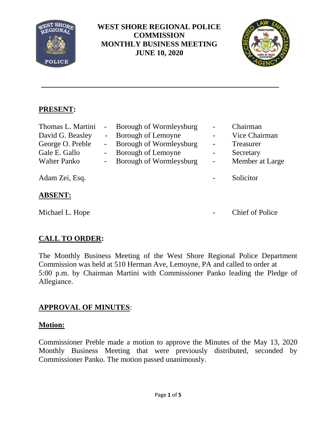

## **WEST SHORE REGIONAL POLICE COMMISSION MONTHLY BUSINESS MEETING JUNE 10, 2020**



## **PRESENT:**

| Thomas L. Martini<br>David G. Beasley<br>George O. Preble<br>Gale E. Gallo<br><b>Walter Panko</b> | $\sim$<br>$\equiv$ | Borough of Wormleysburg<br>Borough of Lemoyne<br>Borough of Wormleysburg<br>Borough of Lemoyne<br>Borough of Wormleysburg | $\overline{\phantom{0}}$<br>$\qquad \qquad -$<br>$\overline{a}$<br>$\qquad \qquad -$<br>$\blacksquare$ | Chairman<br>Vice Chairman<br><b>Treasurer</b><br>Secretary<br>Member at Large |
|---------------------------------------------------------------------------------------------------|--------------------|---------------------------------------------------------------------------------------------------------------------------|--------------------------------------------------------------------------------------------------------|-------------------------------------------------------------------------------|
| Adam Zei, Esq.<br><b>ABSENT:</b>                                                                  |                    |                                                                                                                           |                                                                                                        | Solicitor                                                                     |

Michael L. Hope **-** Chief of Police

# **CALL TO ORDER:**

The Monthly Business Meeting of the West Shore Regional Police Department Commission was held at 510 Herman Ave, Lemoyne, PA and called to order at 5:00 p.m. by Chairman Martini with Commissioner Panko leading the Pledge of Allegiance.

## **APPROVAL OF MINUTES**:

## **Motion:**

Commissioner Preble made a motion to approve the Minutes of the May 13, 2020 Monthly Business Meeting that were previously distributed, seconded by Commissioner Panko. The motion passed unanimously.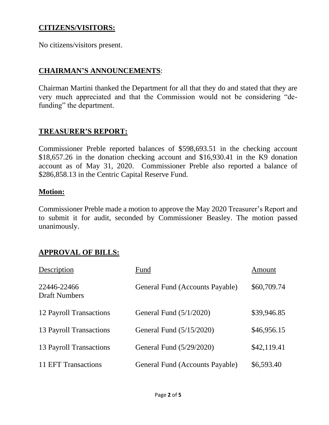#### **CITIZENS/VISITORS:**

No citizens/visitors present.

#### **CHAIRMAN'S ANNOUNCEMENTS**:

Chairman Martini thanked the Department for all that they do and stated that they are very much appreciated and that the Commission would not be considering "defunding" the department.

#### **TREASURER'S REPORT:**

Commissioner Preble reported balances of \$598,693.51 in the checking account \$18,657.26 in the donation checking account and \$16,930.41 in the K9 donation account as of May 31, 2020. Commissioner Preble also reported a balance of \$286,858.13 in the Centric Capital Reserve Fund.

#### **Motion:**

Commissioner Preble made a motion to approve the May 2020 Treasurer's Report and to submit it for audit, seconded by Commissioner Beasley. The motion passed unanimously.

## **APPROVAL OF BILLS:**

| Description                         | Fund                            | Amount      |
|-------------------------------------|---------------------------------|-------------|
| 22446-22466<br><b>Draft Numbers</b> | General Fund (Accounts Payable) | \$60,709.74 |
| 12 Payroll Transactions             | General Fund $(5/1/2020)$       | \$39,946.85 |
| 13 Payroll Transactions             | General Fund (5/15/2020)        | \$46,956.15 |
| 13 Payroll Transactions             | General Fund (5/29/2020)        | \$42,119.41 |
| 11 EFT Transactions                 | General Fund (Accounts Payable) | \$6,593.40  |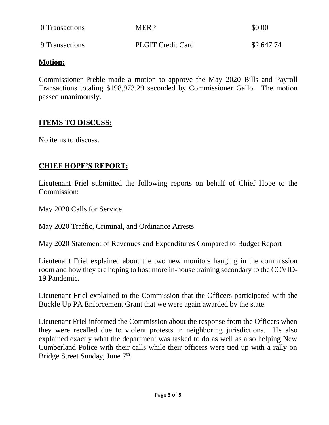| 0 Transactions | <b>MERP</b>              | \$0.00     |
|----------------|--------------------------|------------|
| 9 Transactions | <b>PLGIT Credit Card</b> | \$2,647.74 |

#### **Motion:**

Commissioner Preble made a motion to approve the May 2020 Bills and Payroll Transactions totaling \$198,973.29 seconded by Commissioner Gallo. The motion passed unanimously.

## **ITEMS TO DISCUSS:**

No items to discuss.

## **CHIEF HOPE'S REPORT:**

Lieutenant Friel submitted the following reports on behalf of Chief Hope to the Commission:

May 2020 Calls for Service

May 2020 Traffic, Criminal, and Ordinance Arrests

May 2020 Statement of Revenues and Expenditures Compared to Budget Report

Lieutenant Friel explained about the two new monitors hanging in the commission room and how they are hoping to host more in-house training secondary to the COVID-19 Pandemic.

Lieutenant Friel explained to the Commission that the Officers participated with the Buckle Up PA Enforcement Grant that we were again awarded by the state.

Lieutenant Friel informed the Commission about the response from the Officers when they were recalled due to violent protests in neighboring jurisdictions. He also explained exactly what the department was tasked to do as well as also helping New Cumberland Police with their calls while their officers were tied up with a rally on Bridge Street Sunday, June 7<sup>th</sup>.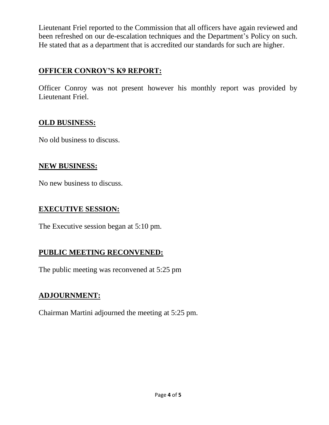Lieutenant Friel reported to the Commission that all officers have again reviewed and been refreshed on our de-escalation techniques and the Department's Policy on such. He stated that as a department that is accredited our standards for such are higher.

## **OFFICER CONROY'S K9 REPORT:**

Officer Conroy was not present however his monthly report was provided by Lieutenant Friel.

## **OLD BUSINESS:**

No old business to discuss.

#### **NEW BUSINESS:**

No new business to discuss.

#### **EXECUTIVE SESSION:**

The Executive session began at 5:10 pm.

## **PUBLIC MEETING RECONVENED:**

The public meeting was reconvened at 5:25 pm

## **ADJOURNMENT:**

Chairman Martini adjourned the meeting at 5:25 pm.